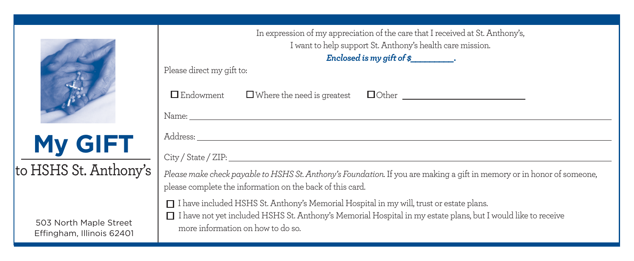



to HSHS St. Anthony's

503 North Maple Street Effingham, Illinois 62401

| I want to help support St. Anthony's health care mission.<br>Enclosed is my gift of \$                                                                                                                                                           |  |  |  |  |
|--------------------------------------------------------------------------------------------------------------------------------------------------------------------------------------------------------------------------------------------------|--|--|--|--|
| Please direct my gift to:                                                                                                                                                                                                                        |  |  |  |  |
| $\square$ Endowment $\square$ Where the need is greatest $\square$ Other $\square$                                                                                                                                                               |  |  |  |  |
|                                                                                                                                                                                                                                                  |  |  |  |  |
|                                                                                                                                                                                                                                                  |  |  |  |  |
| City / State / ZIP:                                                                                                                                                                                                                              |  |  |  |  |
| Please make check payable to HSHS St. Anthony's Foundation. If you are making a gift in memory or in honor of someone,<br>please complete the information on the back of this card.                                                              |  |  |  |  |
| □ I have included HSHS St. Anthony's Memorial Hospital in my will, trust or estate plans.<br>□ I have not yet included HSHS St. Anthony's Memorial Hospital in my estate plans, but I would like to receive<br>more information on how to do so. |  |  |  |  |

In expression of my appreciation of the care that I received at St. Anthony's,